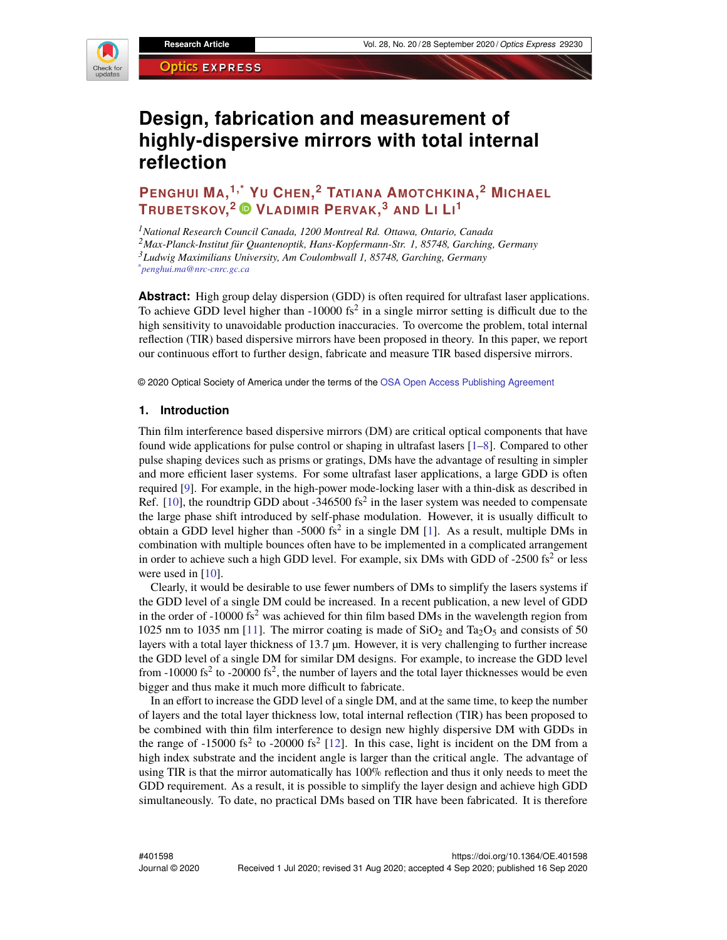

# **Design, fabrication and measurement of highly-dispersive mirrors with total internal reflection**

**PENGHUI MA, 1,\* [Y](https://orcid.org/0000-0003-1490-0264)<sup>U</sup> CHEN, <sup>2</sup> TATIANA AMOTCHKINA, <sup>2</sup> MICHAEL TRUBETSKOV, <sup>2</sup> VLADIMIR PERVAK, <sup>3</sup> AND L<sup>I</sup> L<sup>I</sup> 1**

*National Research Council Canada, 1200 Montreal Rd. Ottawa, Ontario, Canada Max-Planck-Institut für Quantenoptik, Hans-Kopfermann-Str. 1, 85748, Garching, Germany Ludwig Maximilians University, Am Coulombwall 1, 85748, Garching, Germany \*penghui.ma@nrc-cnrc.gc.ca*

**Abstract:** High group delay dispersion (GDD) is often required for ultrafast laser applications. To achieve GDD level higher than  $-10000$  fs<sup>2</sup> in a single mirror setting is difficult due to the high sensitivity to unavoidable production inaccuracies. To overcome the problem, total internal reflection (TIR) based dispersive mirrors have been proposed in theory. In this paper, we report our continuous effort to further design, fabricate and measure TIR based dispersive mirrors.

© 2020 Optical Society of America under the terms of the [OSA Open Access Publishing Agreement](https://doi.org/10.1364/OA_License_v1)

#### **1. Introduction**

Thin film interference based dispersive mirrors (DM) are critical optical components that have found wide applications for pulse control or shaping in ultrafast lasers [\[1](#page-7-0)[–8\]](#page-8-0). Compared to other pulse shaping devices such as prisms or gratings, DMs have the advantage of resulting in simpler and more efficient laser systems. For some ultrafast laser applications, a large GDD is often required [\[9\]](#page-8-1). For example, in the high-power mode-locking laser with a thin-disk as described in Ref. [\[10\]](#page-8-2), the roundtrip GDD about -346500 fs<sup>2</sup> in the laser system was needed to compensate the large phase shift introduced by self-phase modulation. However, it is usually difficult to obtain a GDD level higher than  $-5000$  fs<sup>2</sup> in a single DM [\[1\]](#page-7-0). As a result, multiple DMs in combination with multiple bounces often have to be implemented in a complicated arrangement in order to achieve such a high GDD level. For example, six DMs with GDD of  $-2500$  fs<sup>2</sup> or less were used in [\[10\]](#page-8-2).

Clearly, it would be desirable to use fewer numbers of DMs to simplify the lasers systems if the GDD level of a single DM could be increased. In a recent publication, a new level of GDD in the order of  $-10000$  fs<sup>2</sup> was achieved for thin film based DMs in the wavelength region from 1025 nm to 1035 nm [\[11\]](#page-8-3). The mirror coating is made of  $SiO<sub>2</sub>$  and Ta<sub>2</sub>O<sub>5</sub> and consists of 50 layers with a total layer thickness of 13.7 µm. However, it is very challenging to further increase the GDD level of a single DM for similar DM designs. For example, to increase the GDD level from  $-10000$  fs<sup>2</sup> to  $-20000$  fs<sup>2</sup>, the number of layers and the total layer thicknesses would be even bigger and thus make it much more difficult to fabricate.

In an effort to increase the GDD level of a single DM, and at the same time, to keep the number of layers and the total layer thickness low, total internal reflection (TIR) has been proposed to be combined with thin film interference to design new highly dispersive DM with GDDs in the range of -15000 fs<sup>2</sup> to -20000 fs<sup>2</sup> [\[12\]](#page-8-4). In this case, light is incident on the DM from a high index substrate and the incident angle is larger than the critical angle. The advantage of using TIR is that the mirror automatically has 100% reflection and thus it only needs to meet the GDD requirement. As a result, it is possible to simplify the layer design and achieve high GDD simultaneously. To date, no practical DMs based on TIR have been fabricated. It is therefore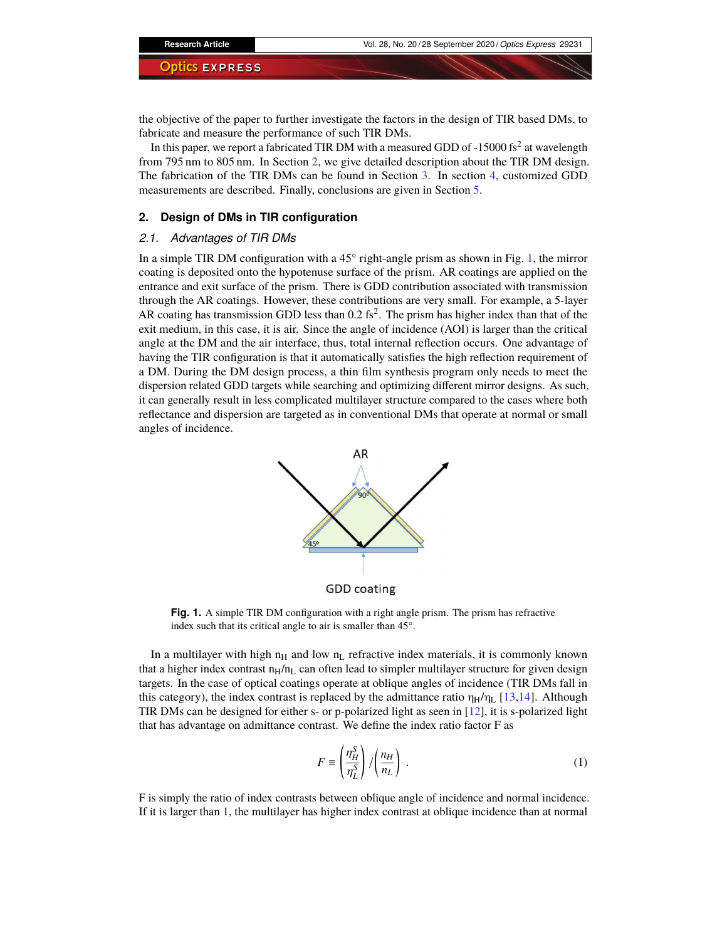the objective of the paper to further investigate the factors in the design of TIR based DMs, to fabricate and measure the performance of such TIR DMs.

In this paper, we report a fabricated TIR DM with a measured GDD of -15000 fs $^2$  at wavelength from 795 nm to 805 nm. In Section [2,](#page-1-0) we give detailed description about the TIR DM design. The fabrication of the TIR DMs can be found in Section [3.](#page-3-0) In section [4,](#page-5-0) customized GDD measurements are described. Finally, conclusions are given in Section [5.](#page-7-1)

#### <span id="page-1-0"></span>**2. Design of DMs in TIR configuration**

#### <span id="page-1-2"></span>*2.1. Advantages of TIR DMs*

In a simple TIR DM configuration with a  $45^{\circ}$  right-angle prism as shown in Fig. [1,](#page-1-1) the mirror coating is deposited onto the hypotenuse surface of the prism. AR coatings are applied on the entrance and exit surface of the prism. There is GDD contribution associated with transmission through the AR coatings. However, these contributions are very small. For example, a 5-layer AR coating has transmission GDD less than  $0.2$  fs<sup>2</sup>. The prism has higher index than that of the exit medium, in this case, it is air. Since the angle of incidence (AOI) is larger than the critical angle at the DM and the air interface, thus, total internal reflection occurs. One advantage of having the TIR configuration is that it automatically satisfies the high reflection requirement of a DM. During the DM design process, a thin film synthesis program only needs to meet the dispersion related GDD targets while searching and optimizing different mirror designs. As such, it can generally result in less complicated multilayer structure compared to the cases where both reflectance and dispersion are targeted as in conventional DMs that operate at normal or small angles of incidence.



**GDD** coating

<span id="page-1-1"></span>**Fig. 1.** A simple TIR DM configuration with a right angle prism. The prism has refractive index such that its critical angle to air is smaller than 45°.

In a multilayer with high  $n_H$  and low  $n_L$  refractive index materials, it is commonly known that a higher index contrast  $n_H/n_L$  can often lead to simpler multilayer structure for given design targets. In the case of optical coatings operate at oblique angles of incidence (TIR DMs fall in this category), the index contrast is replaced by the admittance ratio  $\eta_H/\eta_L$  [\[13](#page-8-5)[,14\]](#page-8-6). Although TIR DMs can be designed for either s- or p-polarized light as seen in [\[12\]](#page-8-4), it is s-polarized light that has advantage on admittance contrast. We define the index ratio factor F as

$$
F \equiv \left(\frac{\eta_H^S}{\eta_L^S}\right) / \left(\frac{n_H}{n_L}\right) \,. \tag{1}
$$

F is simply the ratio of index contrasts between oblique angle of incidence and normal incidence. If it is larger than 1, the multilayer has higher index contrast at oblique incidence than at normal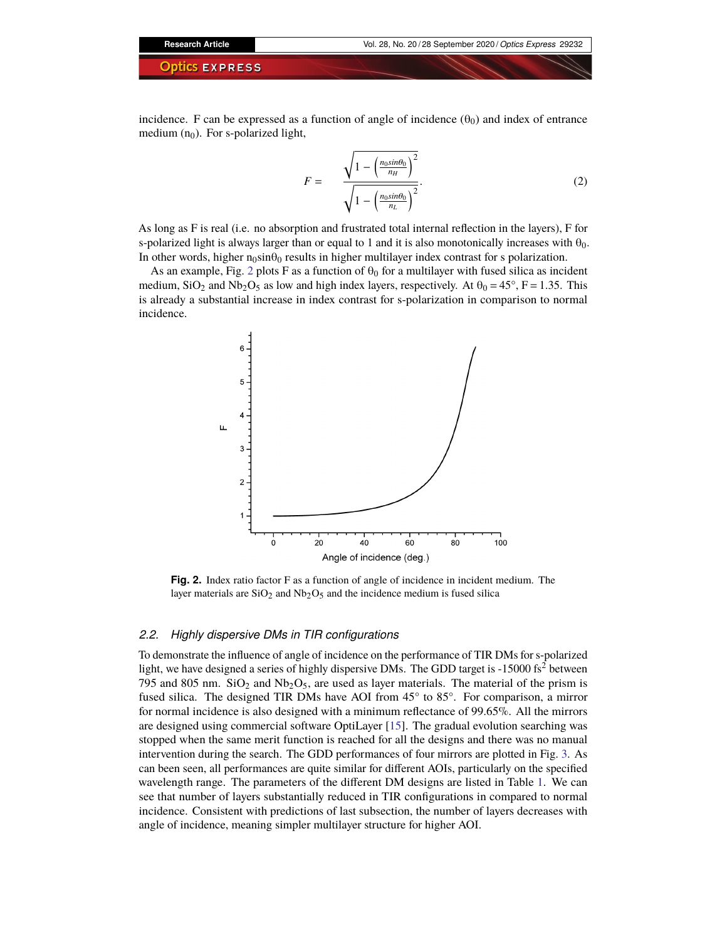incidence. F can be expressed as a function of angle of incidence  $(\theta_0)$  and index of entrance medium  $(n_0)$ . For s-polarized light,

$$
F = \frac{\sqrt{1 - \left(\frac{n_0 \sin \theta_0}{n_H}\right)^2}}{\sqrt{1 - \left(\frac{n_0 \sin \theta_0}{n_L}\right)^2}}.
$$
 (2)

As long as F is real (i.e. no absorption and frustrated total internal reflection in the layers), F for s-polarized light is always larger than or equal to 1 and it is also monotonically increases with  $\theta_0$ . In other words, higher  $n_0\sin\theta_0$  results in higher multilayer index contrast for s polarization.

As an example, Fig. [2](#page-2-0) plots F as a function of  $\theta_0$  for a multilayer with fused silica as incident medium,  $SiO_2$  and  $Nb_2O_5$  as low and high index layers, respectively. At  $\theta_0 = 45^\circ$ , F = 1.35. This is already a substantial increase in index contrast for s-polarization in comparison to normal incidence.



<span id="page-2-0"></span>**Fig. 2.** Index ratio factor F as a function of angle of incidence in incident medium. The layer materials are  $SiO<sub>2</sub>$  and Nb<sub>2</sub>O<sub>5</sub> and the incidence medium is fused silica

#### *2.2. Highly dispersive DMs in TIR configurations*

To demonstrate the influence of angle of incidence on the performance of TIR DMs for s-polarized light, we have designed a series of highly dispersive DMs. The GDD target is  $-15000$  fs<sup>2</sup> between 795 and 805 nm.  $SiO<sub>2</sub>$  and  $Nb<sub>2</sub>O<sub>5</sub>$ , are used as layer materials. The material of the prism is fused silica. The designed TIR DMs have AOI from 45° to 85°. For comparison, a mirror for normal incidence is also designed with a minimum reflectance of 99.65%. All the mirrors are designed using commercial software OptiLayer [\[15\]](#page-8-7). The gradual evolution searching was stopped when the same merit function is reached for all the designs and there was no manual intervention during the search. The GDD performances of four mirrors are plotted in Fig. [3.](#page-3-1) As can been seen, all performances are quite similar for different AOIs, particularly on the specified wavelength range. The parameters of the different DM designs are listed in Table [1.](#page-3-2) We can see that number of layers substantially reduced in TIR configurations in compared to normal incidence. Consistent with predictions of last subsection, the number of layers decreases with angle of incidence, meaning simpler multilayer structure for higher AOI.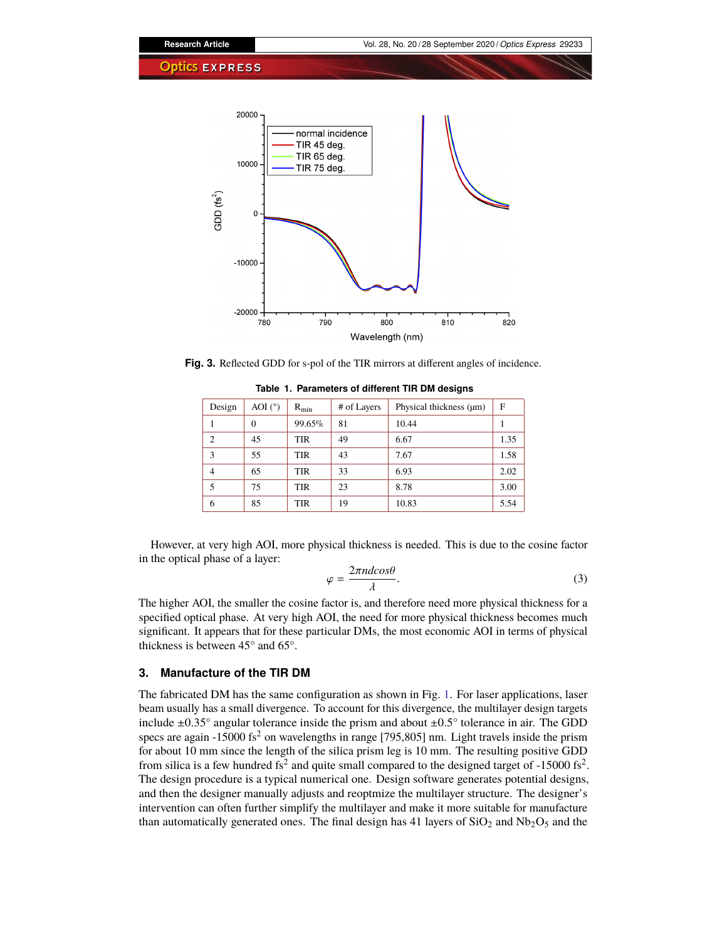

<span id="page-3-1"></span>**Fig. 3.** Reflected GDD for s-pol of the TIR mirrors at different angles of incidence.

| Design         | AOI $(^\circ)$ | $R_{\min}$ | # of Layers | Physical thickness (µm) | F    |
|----------------|----------------|------------|-------------|-------------------------|------|
|                | 0              | 99.65%     | 81          | 10.44                   |      |
| $\overline{c}$ | 45             | TIR        | 49          | 6.67                    | 1.35 |
| 3              | 55             | TIR        | 43          | 7.67                    | 1.58 |
| $\overline{4}$ | 65             | TIR        | 33          | 6.93                    | 2.02 |
| 5              | 75             | TIR        | 23          | 8.78                    | 3.00 |
| 6              | 85             | TIR        | 19          | 10.83                   | 5.54 |

<span id="page-3-2"></span>**Table 1. Parameters of different TIR DM designs**

However, at very high AOI, more physical thickness is needed. This is due to the cosine factor in the optical phase of a layer:

$$
\varphi = \frac{2\pi n d \cos \theta}{\lambda}.
$$
\n(3)

The higher AOI, the smaller the cosine factor is, and therefore need more physical thickness for a specified optical phase. At very high AOI, the need for more physical thickness becomes much significant. It appears that for these particular DMs, the most economic AOI in terms of physical thickness is between 45° and 65°.

### <span id="page-3-0"></span>**3. Manufacture of the TIR DM**

The fabricated DM has the same configuration as shown in Fig. [1.](#page-1-1) For laser applications, laser beam usually has a small divergence. To account for this divergence, the multilayer design targets include  $\pm 0.35^{\circ}$  angular tolerance inside the prism and about  $\pm 0.5^{\circ}$  tolerance in air. The GDD specs are again -15000 fs<sup>2</sup> on wavelengths in range [795,805] nm. Light travels inside the prism for about 10 mm since the length of the silica prism leg is 10 mm. The resulting positive GDD from silica is a few hundred fs<sup>2</sup> and quite small compared to the designed target of -15000 fs<sup>2</sup>. The design procedure is a typical numerical one. Design software generates potential designs, and then the designer manually adjusts and reoptmize the multilayer structure. The designer's intervention can often further simplify the multilayer and make it more suitable for manufacture than automatically generated ones. The final design has 41 layers of  $SiO<sub>2</sub>$  and  $Nb<sub>2</sub>O<sub>5</sub>$  and the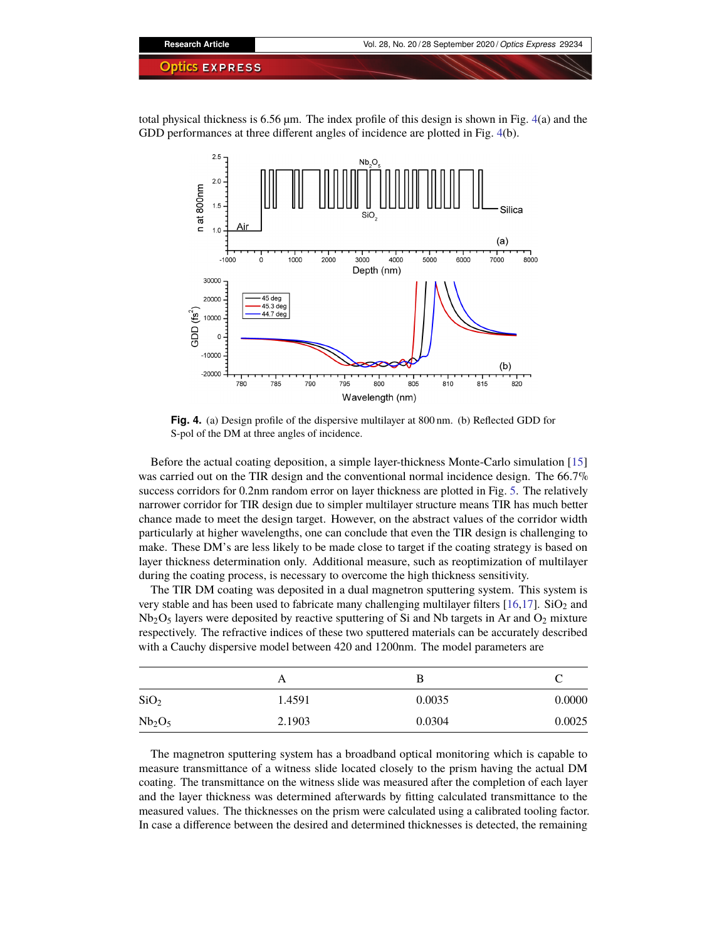

total physical thickness is 6.56 µm. The index profile of this design is shown in Fig. [4\(](#page-4-0)a) and the GDD performances at three different angles of incidence are plotted in Fig. [4\(](#page-4-0)b).



<span id="page-4-0"></span>**Fig. 4.** (a) Design profile of the dispersive multilayer at 800 nm. (b) Reflected GDD for S-pol of the DM at three angles of incidence.

Before the actual coating deposition, a simple layer-thickness Monte-Carlo simulation [\[15\]](#page-8-7) was carried out on the TIR design and the conventional normal incidence design. The 66.7% success corridors for 0.2nm random error on layer thickness are plotted in Fig. [5.](#page-5-1) The relatively narrower corridor for TIR design due to simpler multilayer structure means TIR has much better chance made to meet the design target. However, on the abstract values of the corridor width particularly at higher wavelengths, one can conclude that even the TIR design is challenging to make. These DM's are less likely to be made close to target if the coating strategy is based on layer thickness determination only. Additional measure, such as reoptimization of multilayer during the coating process, is necessary to overcome the high thickness sensitivity.

The TIR DM coating was deposited in a dual magnetron sputtering system. This system is very stable and has been used to fabricate many challenging multilayer filters  $[16,17]$  $[16,17]$ . SiO<sub>2</sub> and  $Nb<sub>2</sub>O<sub>5</sub>$  layers were deposited by reactive sputtering of Si and Nb targets in Ar and  $O<sub>2</sub>$  mixture respectively. The refractive indices of these two sputtered materials can be accurately described with a Cauchy dispersive model between 420 and 1200nm. The model parameters are

|                                | А      |        |        |
|--------------------------------|--------|--------|--------|
| SiO <sub>2</sub>               | 1.4591 | 0.0035 | 0.0000 |
| Nb <sub>2</sub> O <sub>5</sub> | 2.1903 | 0.0304 | 0.0025 |

The magnetron sputtering system has a broadband optical monitoring which is capable to measure transmittance of a witness slide located closely to the prism having the actual DM coating. The transmittance on the witness slide was measured after the completion of each layer and the layer thickness was determined afterwards by fitting calculated transmittance to the measured values. The thicknesses on the prism were calculated using a calibrated tooling factor. In case a difference between the desired and determined thicknesses is detected, the remaining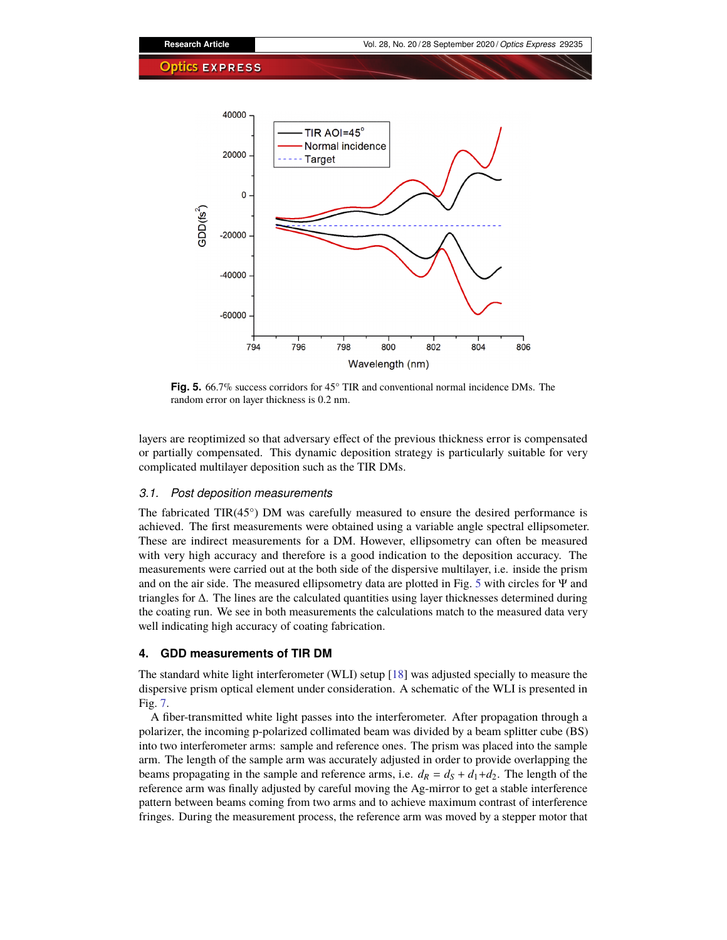

<span id="page-5-1"></span>**Fig. 5.** 66.7% success corridors for 45° TIR and conventional normal incidence DMs. The random error on layer thickness is 0.2 nm.

layers are reoptimized so that adversary effect of the previous thickness error is compensated or partially compensated. This dynamic deposition strategy is particularly suitable for very complicated multilayer deposition such as the TIR DMs.

#### *3.1. Post deposition measurements*

The fabricated  $TIR(45^{\circ})$  DM was carefully measured to ensure the desired performance is achieved. The first measurements were obtained using a variable angle spectral ellipsometer. These are indirect measurements for a DM. However, ellipsometry can often be measured with very high accuracy and therefore is a good indication to the deposition accuracy. The measurements were carried out at the both side of the dispersive multilayer, i.e. inside the prism and on the air side. The measured ellipsometry data are plotted in Fig. [5](#page-5-1) with circles for Ψ and triangles for ∆. The lines are the calculated quantities using layer thicknesses determined during the coating run. We see in both measurements the calculations match to the measured data very well indicating high accuracy of coating fabrication.

#### <span id="page-5-0"></span>**4. GDD measurements of TIR DM**

The standard white light interferometer (WLI) setup [\[18\]](#page-8-10) was adjusted specially to measure the dispersive prism optical element under consideration. A schematic of the WLI is presented in Fig. [7.](#page-6-0)

A fiber-transmitted white light passes into the interferometer. After propagation through a polarizer, the incoming p-polarized collimated beam was divided by a beam splitter cube (BS) into two interferometer arms: sample and reference ones. The prism was placed into the sample arm. The length of the sample arm was accurately adjusted in order to provide overlapping the beams propagating in the sample and reference arms, i.e.  $d_R = d_S + d_1 + d_2$ . The length of the reference arm was finally adjusted by careful moving the Ag-mirror to get a stable interference pattern between beams coming from two arms and to achieve maximum contrast of interference fringes. During the measurement process, the reference arm was moved by a stepper motor that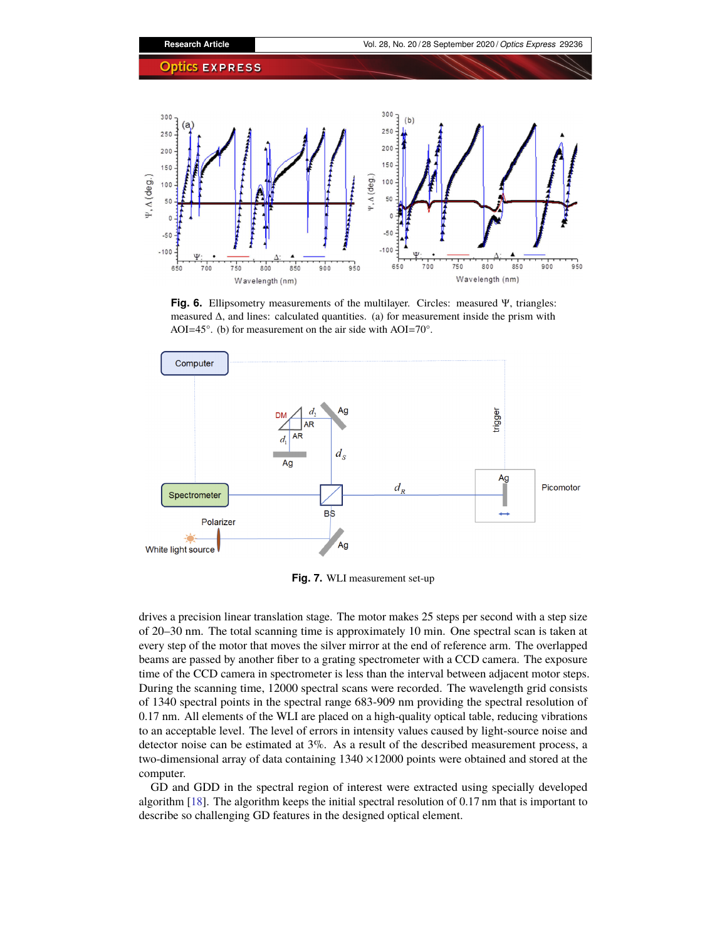

**Fig. 6.** Ellipsometry measurements of the multilayer. Circles: measured Ψ, triangles: measured  $\Delta$ , and lines: calculated quantities. (a) for measurement inside the prism with AOI=45°. (b) for measurement on the air side with AOI=70°.



<span id="page-6-0"></span>**Fig. 7.** WLI measurement set-up

drives a precision linear translation stage. The motor makes 25 steps per second with a step size of 20–30 nm. The total scanning time is approximately 10 min. One spectral scan is taken at every step of the motor that moves the silver mirror at the end of reference arm. The overlapped beams are passed by another fiber to a grating spectrometer with a CCD camera. The exposure time of the CCD camera in spectrometer is less than the interval between adjacent motor steps. During the scanning time, 12000 spectral scans were recorded. The wavelength grid consists of 1340 spectral points in the spectral range 683-909 nm providing the spectral resolution of 0.17 nm. All elements of the WLI are placed on a high-quality optical table, reducing vibrations to an acceptable level. The level of errors in intensity values caused by light-source noise and detector noise can be estimated at 3%. As a result of the described measurement process, a two-dimensional array of data containing 1340 ×12000 points were obtained and stored at the computer.

GD and GDD in the spectral region of interest were extracted using specially developed algorithm [\[18\]](#page-8-10). The algorithm keeps the initial spectral resolution of 0.17 nm that is important to describe so challenging GD features in the designed optical element.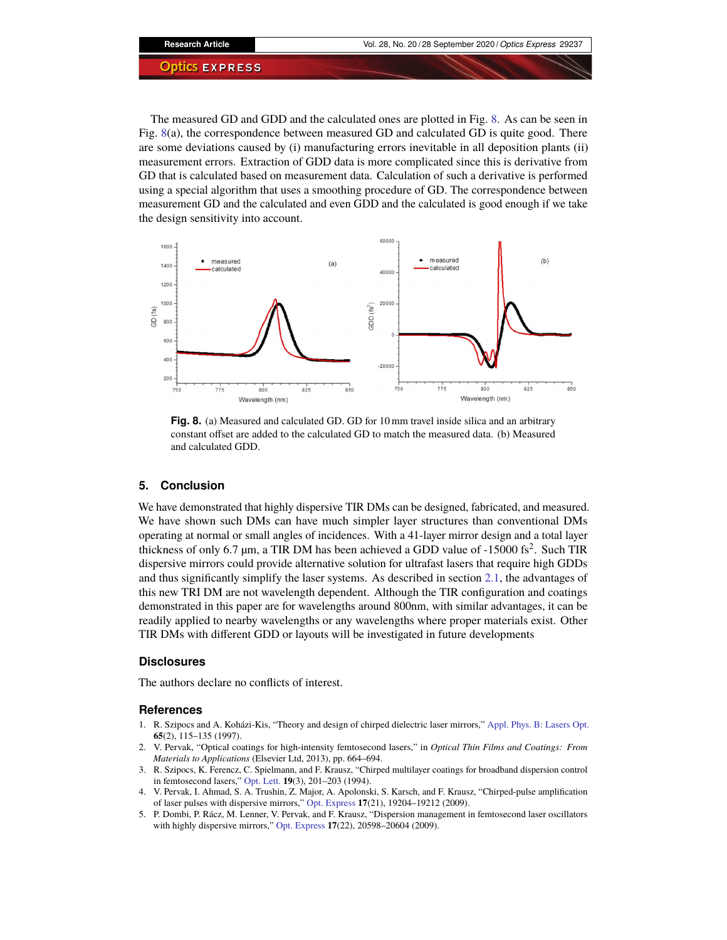The measured GD and GDD and the calculated ones are plotted in Fig. [8.](#page-7-2) As can be seen in Fig. [8\(](#page-7-2)a), the correspondence between measured GD and calculated GD is quite good. There are some deviations caused by (i) manufacturing errors inevitable in all deposition plants (ii) measurement errors. Extraction of GDD data is more complicated since this is derivative from GD that is calculated based on measurement data. Calculation of such a derivative is performed using a special algorithm that uses a smoothing procedure of GD. The correspondence between measurement GD and the calculated and even GDD and the calculated is good enough if we take the design sensitivity into account.



<span id="page-7-2"></span>**Fig. 8.** (a) Measured and calculated GD. GD for 10 mm travel inside silica and an arbitrary constant offset are added to the calculated GD to match the measured data. (b) Measured and calculated GDD.

#### <span id="page-7-1"></span>**5. Conclusion**

We have demonstrated that highly dispersive TIR DMs can be designed, fabricated, and measured. We have shown such DMs can have much simpler layer structures than conventional DMs operating at normal or small angles of incidences. With a 41-layer mirror design and a total layer thickness of only 6.7  $\mu$ m, a TIR DM has been achieved a GDD value of -15000 fs<sup>2</sup>. Such TIR dispersive mirrors could provide alternative solution for ultrafast lasers that require high GDDs and thus significantly simplify the laser systems. As described in section [2.1,](#page-1-2) the advantages of this new TRI DM are not wavelength dependent. Although the TIR configuration and coatings demonstrated in this paper are for wavelengths around 800nm, with similar advantages, it can be readily applied to nearby wavelengths or any wavelengths where proper materials exist. Other TIR DMs with different GDD or layouts will be investigated in future developments

#### **Disclosures**

The authors declare no conflicts of interest.

#### **References**

- <span id="page-7-0"></span>1. R. Szipocs and A. Koházi-Kis, "Theory and design of chirped dielectric laser mirrors," [Appl. Phys. B: Lasers Opt.](https://doi.org/10.1007/s003400050258) **65**(2), 115–135 (1997).
- 2. V. Pervak, "Optical coatings for high-intensity femtosecond lasers," in *Optical Thin Films and Coatings: From Materials to Applications* (Elsevier Ltd, 2013), pp. 664–694.
- 3. R. Szipocs, K. Ferencz, C. Spielmann, and F. Krausz, "Chirped multilayer coatings for broadband dispersion control in femtosecond lasers," [Opt. Lett.](https://doi.org/10.1364/OL.19.000201) **19**(3), 201–203 (1994).
- 4. V. Pervak, I. Ahmad, S. A. Trushin, Z. Major, A. Apolonski, S. Karsch, and F. Krausz, "Chirped-pulse amplification of laser pulses with dispersive mirrors," [Opt. Express](https://doi.org/10.1364/OE.17.019204) **17**(21), 19204–19212 (2009).
- 5. P. Dombi, P. Rácz, M. Lenner, V. Pervak, and F. Krausz, "Dispersion management in femtosecond laser oscillators with highly dispersive mirrors," [Opt. Express](https://doi.org/10.1364/OE.17.020598) **17**(22), 20598–20604 (2009).